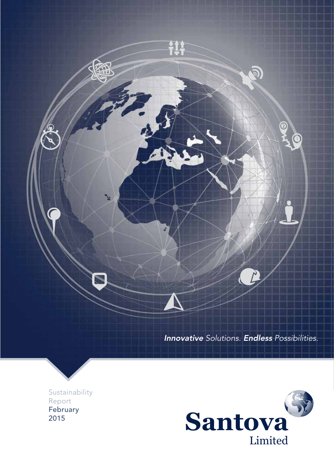

Innovative *Solutions.* Endless *Possibilities.*

Sustainability Report February 2015

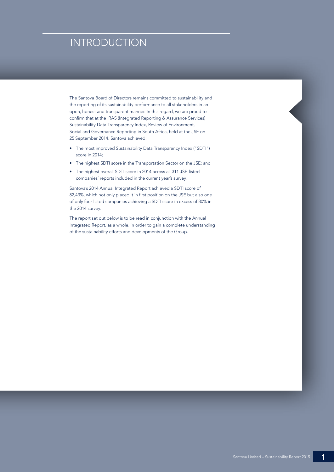## **ERGINTRODUCTION**

The Santova Board of Directors remains committed to sustainability and the reporting of its sustainability performance to all stakeholders in an open, honest and transparent manner. In this regard, we are proud to confirm that at the IRAS (Integrated Reporting & Assurance Services) Sustainability Data Transparency Index, Review of Environment, Social and Governance Reporting in South Africa, held at the JSE on 25 September 2014, Santova achieved:

- The most improved Sustainability Data Transparency Index ("SDTI") score in 2014;
- The highest SDTI score in the Transportation Sector on the JSE; and
- The highest overall SDTI score in 2014 across all 311 JSE-listed companies' reports included in the current year's survey.

Santova's 2014 Annual Integrated Report achieved a SDTI score of 82,43%, which not only placed it in first position on the JSE but also one of only four listed companies achieving a SDTI score in excess of 80% in the 2014 survey.

The report set out below is to be read in conjunction with the Annual Integrated Report, as a whole, in order to gain a complete understanding of the sustainability efforts and developments of the Group.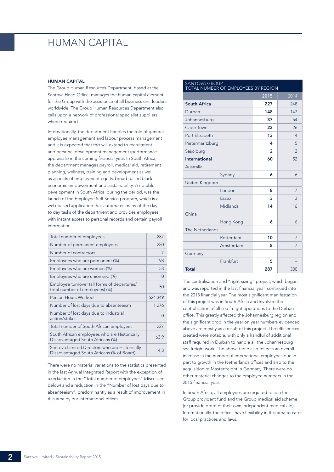## HUMAN CAPITAL

#### HUMAN CAPITAL

The Group Human Resources Department, based at the Santova Head Office, manages the human capital element for the Group with the assistance of all business unit leaders worldwide. The Group Human Resources Department also calls upon a network of professional specialist suppliers, where required.

Internationally, the department handles the role of general employee management and labour process management and it is expected that this will extend to recruitment and personal development management (performance appraisals) in the coming financial year. In South Africa, the department manages payroll, medical aid, retirement planning, wellness, training and development as well as aspects of employment equity, broad-based black economic empowerment and sustainability. A notable development in South Africa, during the period, was the launch of the Employee Self Service program, which is a web-based application that automates many of the day to day tasks of the department and provides employees with instant access to personal records and certain payroll information.

| Total number of employees                                                                   | 287      |
|---------------------------------------------------------------------------------------------|----------|
| Number of permanent employees                                                               | 280      |
| Number of contractors                                                                       | 7        |
| Employees who are permanent (%)                                                             | 98       |
| Employees who are women (%)                                                                 | 53       |
| Employees who are unionised (%)                                                             | $\Omega$ |
| Employee turnover (all forms of departures/<br>total number of employees) (%)               | 30       |
| Person Hours Worked                                                                         | 524 349  |
| Number of lost days due to absenteeism                                                      | 1 2 7 6  |
| Number of lost days due to industrial<br>action/strikes                                     | ∩        |
| Total number of South African employees                                                     | 227      |
| South African employees who are Historically<br>Disadvantaged South Africans (%)            | 63,9     |
| Santova Limited Directors who are Historically<br>Disadvantaged South Africans (% of Board) | 14,3     |

There were no material variations to the statistics presented in the last Annual Integrated Report with the exception of a reduction in the "Total number of employees" (discussed below) and a reduction in the "Number of lost days due to absenteeism", predominantly as a result of improvement in this area by our international offices.

| <b>SANTOVA GROUP</b><br>TOTAL NUMBER OF EMPLOYEES BY REGION |      |                |  |  |
|-------------------------------------------------------------|------|----------------|--|--|
|                                                             | 2015 | 2014           |  |  |
| South Africa                                                | 227  | 248            |  |  |
| Durban                                                      | 148  | 147            |  |  |
| Johannesburg                                                | 37   | 54             |  |  |
| Cape Town                                                   | 23   | 26             |  |  |
| Port Elizabeth                                              | 13   | 14             |  |  |
| Pietermaritzburg                                            | 4    | 5              |  |  |
| Sasolburg                                                   | 2    | $\mathfrak{D}$ |  |  |
| International                                               | 60   | 52             |  |  |
| Australia                                                   |      |                |  |  |
| Sydney                                                      | 6    | 6              |  |  |
| United Kingdom                                              |      |                |  |  |
| London                                                      | 8    | 7              |  |  |
| Essex                                                       | 3    | 3              |  |  |
| Midlands                                                    | 14   | 16             |  |  |
| China                                                       |      |                |  |  |
| Hong Kong                                                   | 6    | 6              |  |  |
| The Netherlands                                             |      |                |  |  |
| Rotterdam                                                   | 10   | 7              |  |  |
| Amsterdam                                                   | 8    | 7              |  |  |
| Germany                                                     |      |                |  |  |
| Frankfurt                                                   | 5    |                |  |  |
| <b>Total</b>                                                | 287  | 300            |  |  |

The centralisation and "right-sizing" project, which began and was reported in the last financial year, continued into the 2015 financial year. The most significant manifestation of this project was in South Africa and involved the centralisation of all sea freight operations to the Durban office. This greatly affected the Johannesburg region and the significant drop in the year on year numbers evidenced above are mostly as a result of this project. The efficiencies created were notable, with only a handful of additional staff required in Durban to handle all the Johannesburg sea freight work. The above table also reflects an overall increase in the number of international employees due in part to growth in the Netherlands offices and also to the acquisition of Masterfreight in Germany. There were no other material changes to the employee numbers in the 2015 financial year.

In South Africa, all employees are required to join the Group provident fund and the Group medical aid scheme (or provide proof of their own independent medical aid). Internationally, the offices have flexibility in this area to cater for local practices and laws.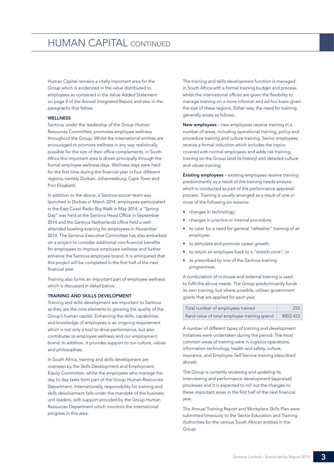## HUMAN CAPITAL CONTINUED

Human Capital remains a vitally important area for the Group which is evidenced in the value distributed to employees as contained in the Value Added Statement on page 9 of the Annual Integrated Report and also in the paragraphs that follow.

## **WELLNESS**

Santova, under the leadership of the Group Human Resources Committee, promotes employee wellness throughout the Group. Whilst the international entities are encouraged to promote wellness in any way realistically possible for the size of their office complements, in South Africa this important area is driven principally through the formal employee wellness days. Wellness days were held for the first time during the financial year in four different regions, namely Durban, Johannesburg, Cape Town and Port Elizabeth.

In addition to the above, a Santova soccer team was launched in Durban in March 2014, employees participated in the East Coast Radio Big Walk in May 2014, a "Spring Day" was held at the Santova Head Office in September 2014 and the Santova Netherlands office held a wellattended bowling evening for employees in November 2014. The Santova Executive Committee has also embarked on a project to consider additional non-financial benefits for employees to improve employee wellness and further enhance the Santova employee brand. It is anticipated that this project will be completed in the first half of the next financial year.

Training also forms an important part of employee wellness which is discussed in detail below.

## TRAINING AND SKILLS DEVELOPMENT

Training and skills development are important to Santova as they are the core elements to growing the quality of the Group's human capital. Enhancing the skills, capabilities and knowledge of employees is an ongoing requirement which is not only a tool to drive performance, but also contributes to employee wellness and our employment brand. In addition, it provides support to our culture, values and philosophies.

In South Africa, training and skills development are overseen by the Skills Development and Employment Equity Committee, whilst the employees who manage the day to day tasks form part of the Group Human Resources Department. Internationally, responsibility for training and skills development falls under the mandate of the business unit leaders, with support provided by the Group Human Resources Department which monitors the international progress in this area.

The training and skills development function is managed in South Africa with a formal training budget and process, whilst the international offices are given the flexibility to manage training on a more informal and *ad hoc* basis given the size of these regions. Either way, the need for training generally arises as follows:

New employees – new employees receive training in a number of areas, including operational training, policy and procedure training and culture training. Senior employees receive a formal induction which includes the topics covered with normal employees and adds risk training, training on the Group (and its history) and detailed culture and values training.

Existing employees – existing employees receive training predominantly as a result of the training needs analysis which is conducted as part of the performance appraisal process. Training is usually arranged as a result of one or more of the following six reasons:

- changes in technology;
- changes in practice or internal procedure;
- to cater for a need for general "refresher" training of an employee;
- to stimulate and promote career growth;
- to return an employee back to a "stretch zone"; or
- as prescribed by one of the Santova training programmes.

A combination of in-house and external training is used to fulfil the above needs. The Group predominantly funds its own training, but where possible, utilises government grants that are applied for each year.

| Total number of employees trained           | 255      |
|---------------------------------------------|----------|
| Rand value of total employee training spend | R853 423 |

A number of different types of training and development initiatives were undertaken during the period. The most common areas of training were in logistics operations, information technology, health and safety, culture, insurance, and Employee Self Service training (described above).

The Group is currently reviewing and updating its interviewing and performance development (appraisal) processes and it is expected to roll out the changes to these important areas in the first half of the next financial year.

The Annual Training Report and Workplace Skills Plan were submitted timeously to the Sector Education and Training Authorities for the various South African entities in the Group.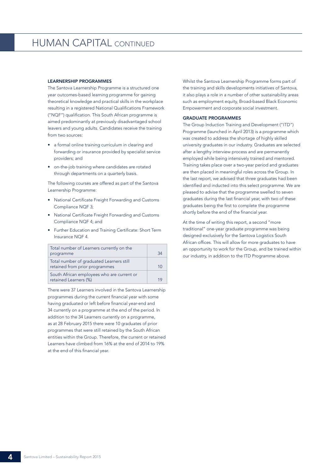## LEARNERSHIP PROGRAMMES

The Santova Learnership Programme is a structured one year outcomes-based learning programme for gaining theoretical knowledge and practical skills in the workplace resulting in a registered National Qualifications Framework ("NQF") qualification. This South African programme is aimed predominantly at previously disadvantaged school leavers and young adults. Candidates receive the training from two sources:

- a formal online training curriculum in clearing and forwarding or insurance provided by specialist service providers; and
- on-the-job training where candidates are rotated through departments on a quarterly basis.

The following courses are offered as part of the Santova Learnership Programme:

- National Certificate Freight Forwarding and Customs Compliance NQF 3;
- National Certificate Freight Forwarding and Customs Compliance NQF 4; and
- Further Education and Training Certificate: Short Term Insurance NQF 4.

| Total number of Learners currently on the<br>programme                     | ঽ₫ |
|----------------------------------------------------------------------------|----|
| Total number of graduated Learners still<br>retained from prior programmes | 10 |
| South African employees who are current or<br>retained Learners (%)        |    |

There were 37 Learners involved in the Santova Learnership programmes during the current financial year with some having graduated or left before financial year-end and 34 currently on a programme at the end of the period. In addition to the 34 Learners currently on a programme, as at 28 February 2015 there were 10 graduates of prior programmes that were still retained by the South African entities within the Group. Therefore, the current or retained Learners have climbed from 16% at the end of 2014 to 19% at the end of this financial year.

Whilst the Santova Learnership Programme forms part of the training and skills developments initiatives of Santova, it also plays a role in a number of other sustainability areas such as employment equity, Broad-based Black Economic Empowerment and corporate social investment.

### GRADUATE PROGRAMMES

The Group Induction Training and Development ("ITD") Programme (launched in April 2013) is a programme which was created to address the shortage of highly skilled university graduates in our industry. Graduates are selected after a lengthy interview process and are permanently employed while being intensively trained and mentored. Training takes place over a two-year period and graduates are then placed in meaningful roles across the Group. In the last report, we advised that three graduates had been identified and inducted into this select programme. We are pleased to advise that the programme swelled to seven graduates during the last financial year, with two of these graduates being the first to complete the programme shortly before the end of the financial year.

At the time of writing this report, a second "more traditional" one-year graduate programme was being designed exclusively for the Santova Logistics South African offices. This will allow for more graduates to have an opportunity to work for the Group, and be trained within our industry, in addition to the ITD Programme above.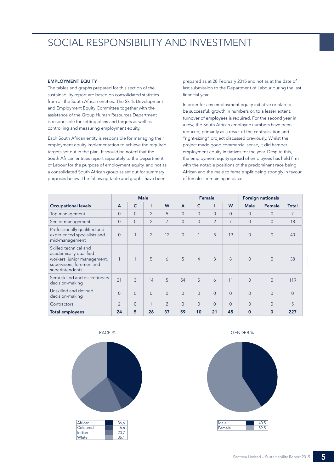## EMPLOYMENT EQUITY

The tables and graphs prepared for this section of the sustainability report are based on consolidated statistics from all the South African entities. The Skills Development and Employment Equity Committee together with the assistance of the Group Human Resources Department is responsible for setting plans and targets as well as controlling and measuring employment equity.

Each South African entity is responsible for managing their employment equity implementation to achieve the required targets set out in the plan. It should be noted that the South African entities report separately to the Department of Labour for the purpose of employment equity, and not as a consolidated South African group as set out for summary purposes below. The following table and graphs have been

prepared as at 28 February 2015 and not as at the date of last submission to the Department of Labour during the last financial year.

In order for any employment equity initiative or plan to be successful, growth in numbers or, to a lesser extent, turnover of employees is required. For the second year in a row, the South African employee numbers have been reduced, primarily as a result of the centralisation and "right-sizing" project discussed previously. Whilst the project made good commercial sense, it did hamper employment equity initiatives for the year. Despite this, the employment equity spread of employees has held firm with the notable positions of the predominant race being African and the male to female split being strongly in favour of females, remaining in place.

|                                                                                                                               |                |                | <b>Male</b>    |                | Female         |                |                | <b>Foreign nationals</b> |             |                |                |
|-------------------------------------------------------------------------------------------------------------------------------|----------------|----------------|----------------|----------------|----------------|----------------|----------------|--------------------------|-------------|----------------|----------------|
| <b>Occupational levels</b>                                                                                                    | $\overline{A}$ | C              | T              | W              | $\overline{A}$ | $\mathsf{C}$   |                | W                        | <b>Male</b> | Female         | <b>Total</b>   |
| Top management                                                                                                                | $\Omega$       | $\Omega$       | $\overline{2}$ | 5              | $\Omega$       | $\Omega$       | $\Omega$       | $\Omega$                 | $\Omega$    | $\overline{0}$ | $\overline{7}$ |
| Senior management                                                                                                             | $\Omega$       | $\Omega$       | $\overline{2}$ | $\overline{7}$ | $\Omega$       | $\overline{0}$ | $\overline{2}$ | 7                        | $\Omega$    | $\Omega$       | 18             |
| Professionally qualified and<br>experienced specialists and<br>mid-management                                                 | $\Omega$       | $\mathbf{1}$   | $\overline{2}$ | 12             | $\Omega$       | 1              | 5              | 19                       | $\Omega$    | $\Omega$       | 40             |
| Skilled technical and<br>academically qualified<br>workers, junior management,<br>supervisors, foremen and<br>superintendents | 1              | 1              | 5              | 6              | 5              | $\overline{4}$ | $\mathsf{R}$   | 8                        | $\Omega$    | $\Omega$       | 38             |
| Semi-skilled and discretionary<br>decision-making                                                                             | 21             | $\overline{3}$ | 14             | 5              | 54             | 5              | $\overline{6}$ | 11                       | $\Omega$    | $\Omega$       | 119            |
| Unskilled and defined<br>decision-making                                                                                      | $\Omega$       | $\Omega$       | $\Omega$       | $\Omega$       | $\Omega$       | $\Omega$       | $\Omega$       | $\Omega$                 | $\Omega$    | $\Omega$       | $\Omega$       |
| Contractors                                                                                                                   | $\overline{2}$ | $\overline{0}$ | 1              | $\overline{2}$ | $\Omega$       | $\Omega$       | $\Omega$       | $\Omega$                 | $\Omega$    | $\Omega$       | 5              |
| <b>Total employees</b>                                                                                                        | 24             | 5              | 26             | 37             | 59             | 10             | 21             | 45                       | $\Omega$    | $\mathbf 0$    | 227            |





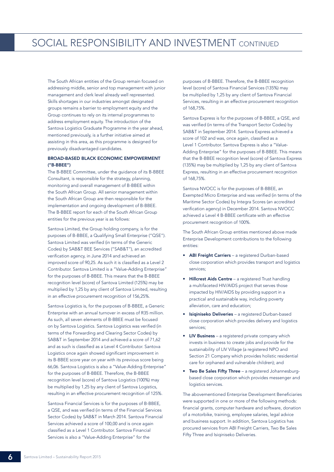The South African entities of the Group remain focused on addressing middle, senior and top management with junior management and clerk level already well represented. Skills shortages in our industries amongst designated groups remains a barrier to employment equity and the Group continues to rely on its internal programmes to address employment equity. The introduction of the Santova Logistics Graduate Programme in the year ahead, mentioned previously, is a further initiative aimed at assisting in this area, as this programme is designed for previously disadvantaged candidates.

## BROAD-BASED BLACK ECONOMIC EMPOWERMENT ("B-BBEE")

The B-BBEE Committee, under the guidance of its B-BBEE Consultant, is responsible for the strategy, planning, monitoring and overall management of B-BBEE within the South African Group. All senior management within the South African Group are then responsible for the implementation and ongoing development of B-BBEE. The B-BBEE report for each of the South African Group entities for the previous year is as follows:

Santova Limited, the Group holding company, is for the purposes of B-BBEE, a Qualifying Small Enterprise ("QSE"). Santova Limited was verified (in terms of the Generic Codes) by SAB&T BEE Services ("SAB&T"), an accredited verification agency, in June 2014 and achieved an improved score of 90,25. As such it is classified as a Level 2 Contributor. Santova Limited is a "Value-Adding Enterprise" for the purposes of B-BBEE. This means that the B-BBEE recognition level (score) of Santova Limited (125%) may be multiplied by 1,25 by any client of Santova Limited, resulting in an effective procurement recognition of 156,25%.

Santova Logistics is, for the purposes of B-BBEE, a Generic Enterprise with an annual turnover in excess of R35 million. As such, all seven elements of B-BBEE must be focused on by Santova Logistics. Santova Logistics was verified (in terms of the Forwarding and Clearing Sector Codes) by SAB&T in September 2014 and achieved a score of 71,62 and as such is classified as a Level 4 Contributor. Santova Logistics once again showed significant improvement in its B-BBEE score year on year with its previous score being 66,06. Santova Logistics is also a "Value-Adding Enterprise" for the purposes of B-BBEE. Therefore, the B-BBEE recognition level (score) of Santova Logistics (100%) may be multiplied by 1,25 by any client of Santova Logistics, resulting in an effective procurement recognition of 125%.

Santova Financial Services is for the purposes of B-BBEE, a QSE, and was verified (in terms of the Financial Services Sector Codes) by SAB&T in March 2014. Santova Financial Services achieved a score of 100,00 and is once again classified as a Level 1 Contributor. Santova Financial Services is also a "Value-Adding Enterprise" for the

purposes of B-BBEE. Therefore, the B-BBEE recognition level (score) of Santova Financial Services (135%) may be multiplied by 1,25 by any client of Santova Financial Services, resulting in an effective procurement recognition of 168,75%.

Santova Express is for the purposes of B-BBEE, a QSE, and was verified (in terms of the Transport Sector Codes) by SAB&T in September 2014. Santova Express achieved a score of 102 and was, once again, classified as a Level 1 Contributor. Santova Express is also a "Value-Adding Enterprise" for the purposes of B-BBEE. This means that the B-BBEE recognition level (score) of Santova Express (135%) may be multiplied by 1,25 by any client of Santova Express, resulting in an effective procurement recognition of 168,75%.

Santova NVOCC is for the purposes of B-BBEE, an Exempted Micro Enterprise and was verified (in terms of the Maritime Sector Codes) by Integra Scores (an accredited verification agency) in December 2014. Santova NVOCC achieved a Level 4 B-BBEE certificate with an effective procurement recognition of 100%.

The South African Group entities mentioned above made Enterprise Development contributions to the following entities:

- ABI Freight Carriers a registered Durban-based close corporation which provides transport and logistics services;
- Hillcrest Aids Centre a registered Trust handling a multifaceted HIV/AIDS project that serves those impacted by HIV/AIDS by providing support in a practical and sustainable way, including poverty alleviation, care and education;
- Isiqiniseko Deliveries a registered Durban-based close corporation which provides delivery and logistics services;
- LIV Business a registered private company which invests in business to create jobs and provide for the sustainability of LIV Village (a registered NPO and Section 21 Company which provides holistic residential care for orphaned and vulnerable children); and
- Two Be Sales Fifty Three a registered Johannesburgbased close corporation which provides messenger and logistics services.

The abovementioned Enterprise Development Beneficiaries were supported in one or more of the following methods: financial grants, computer hardware and software, donation of a motorbike, training, employee salaries, legal advice and business support. In addition, Santova Logistics has procured services from ABI Freight Carriers, Two Be Sales Fifty Three and Isiqiniseko Deliveries.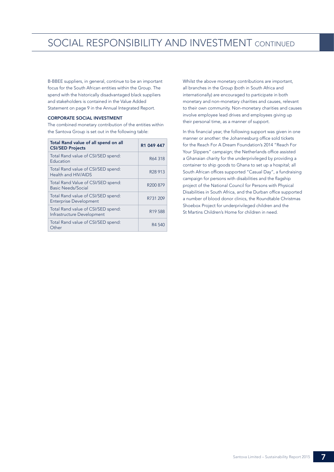# SOCIAL RESPONSIBILITY AND INVESTMENT CONTINUED

B-BBEE suppliers, in general, continue to be an important focus for the South African entities within the Group. The spend with the historically disadvantaged black suppliers and stakeholders is contained in the Value Added Statement on page 9 in the Annual Integrated Report.

## CORPORATE SOCIAL INVESTMENT

The combined monetary contribution of the entities within the Santova Group is set out in the following table:

| Total Rand value of all spend on all<br><b>CSI/SED Projects</b>     | R1 049 447           |
|---------------------------------------------------------------------|----------------------|
| Total Rand value of CSI/SED spend:<br>Education                     | R64 318              |
| Total Rand value of CSI/SED spend:<br>Health and HIV/AIDS           | R <sub>28</sub> 913  |
| Total Rand Value of CSI/SED spend:<br>Basic Needs/Social            | R <sub>200</sub> 879 |
| Total Rand value of CSI/SED spend:<br><b>Enterprise Development</b> | R731 209             |
| Total Rand value of CSI/SED spend:<br>Infrastructure Development    | R <sub>19588</sub>   |
| Total Rand value of CSI/SED spend:<br>Other                         | R4 540               |

Whilst the above monetary contributions are important, all branches in the Group (both in South Africa and internationally) are encouraged to participate in both monetary and non-monetary charities and causes, relevant to their own community. Non-monetary charities and causes involve employee lead drives and employees giving up their personal time, as a manner of support.

In this financial year, the following support was given in one manner or another: the Johannesburg office sold tickets for the Reach For A Dream Foundation's 2014 "Reach For Your Slippers" campaign; the Netherlands office assisted a Ghanaian charity for the underprivileged by providing a container to ship goods to Ghana to set up a hospital; all South African offices supported "Casual Day", a fundraising campaign for persons with disabilities and the flagship project of the National Council for Persons with Physical Disabilities in South Africa, and the Durban office supported a number of blood donor clinics, the Roundtable Christmas Shoebox Project for underprivileged children and the St Martins Children's Home for children in need.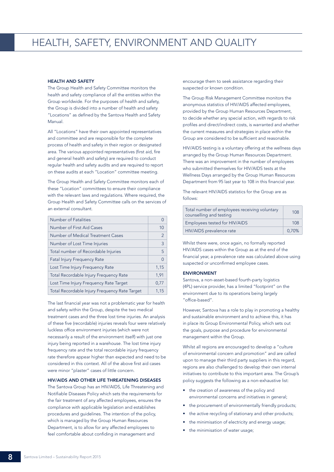## HEALTH AND SAFETY

The Group Health and Safety Committee monitors the health and safety compliance of all the entities within the Group worldwide. For the purposes of health and safety, the Group is divided into a number of health and safety "Locations" as defined by the Santova Health and Safety Manual.

All "Locations" have their own appointed representatives and committee and are responsible for the complete process of health and safety in their region or designated area. The various appointed representatives (first aid, fire and general health and safety) are required to conduct regular health and safety audits and are required to report on these audits at each "Location" committee meeting.

The Group Health and Safety Committee monitors each of these "Location" committees to ensure their compliance with the relevant laws and regulations. Where required, the Group Health and Safety Committee calls on the services of an external consultant.

| Number of Fatalities                          |               |
|-----------------------------------------------|---------------|
| Number of First Aid Cases                     | 10            |
| Number of Medical Treatment Cases             | $\mathcal{P}$ |
| Number of Lost Time Injuries                  | 3             |
| Total number of Recordable Injuries           | 5             |
| <b>Fatal Injury Frequency Rate</b>            | $\Omega$      |
| Lost Time Injury Frequency Rate               | 1,15          |
| Total Recordable Injury Frequency Rate        | 1.91          |
| Lost Time Injury Frequency Rate Target        | 0.77          |
| Total Recordable Injury Frequency Rate Target | 1.15          |

The last financial year was not a problematic year for health and safety within the Group, despite the two medical treatment cases and the three lost time injuries. An analysis of these five (recordable) injuries reveals four were relatively luckless office environment injuries (which were not necessarily a result of the environment itself) with just one injury being reported in a warehouse. The lost time injury frequency rate and the total recordable injury frequency rate therefore appear higher than expected and need to be considered in this context. All of the above first aid cases were minor "plaster" cases of little concern.

## HIV/AIDS AND OTHER LIFE THREATENING DISEASES

The Santova Group has an HIV/AIDS, Life Threatening and Notifiable Diseases Policy which sets the requirements for the fair treatment of any affected employees, ensures the compliance with applicable legislation and establishes procedures and guidelines. The intention of the policy, which is managed by the Group Human Resources Department, is to allow for any affected employees to feel comfortable about confiding in management and

encourage them to seek assistance regarding their suspected or known condition.

The Group Risk Management Committee monitors the anonymous statistics of HIV/AIDS affected employees, provided by the Group Human Resources Department, to decide whether any special action, with regards to risk profiles and direct/indirect costs, is warranted and whether the current measures and strategies in place within the Group are considered to be sufficient and reasonable.

HIV/AIDS testing is a voluntary offering at the wellness days arranged by the Group Human Resources Department. There was an improvement in the number of employees who submitted themselves for HIV/AIDS tests at the Wellness Days arranged by the Group Human Resources Department from 95 last year to 108 in this financial year.

The relevant HIV/AIDS statistics for the Group are as follows:

| Total number of employees receiving voluntary<br>counselling and testing | 108   |
|--------------------------------------------------------------------------|-------|
| Employees tested for HIV/AIDS                                            | 108   |
| HIV/AIDS prevalence rate                                                 | 0.70% |

Whilst there were, once again, no formally reported HIV/AIDS cases within the Group as at the end of the financial year, a prevalence rate was calculated above using suspected or unconfirmed employee cases.

### ENVIRONMENT

Santova, a non-asset-based fourth-party logistics (4PL) service provider, has a limited "footprint" on the environment due to its operations being largely "office-based".

However, Santova has a role to play in promoting a healthy and sustainable environment and to achieve this, it has in place its Group Environmental Policy, which sets out the goals, purpose and procedure for environmental management within the Group.

Whilst all regions are encouraged to develop a "culture of environmental concern and promotion" and are called upon to manage their third party suppliers in this regard, regions are also challenged to develop their own internal initiatives to contribute to this important area. The Group's policy suggests the following as a non-exhaustive list:

- the creation of awareness of the policy and environmental concerns and initiatives in general;
- the procurement of environmentally friendly products;
- the active recycling of stationary and other products;
- the minimisation of electricity and energy usage;
- the minimisation of water usage;